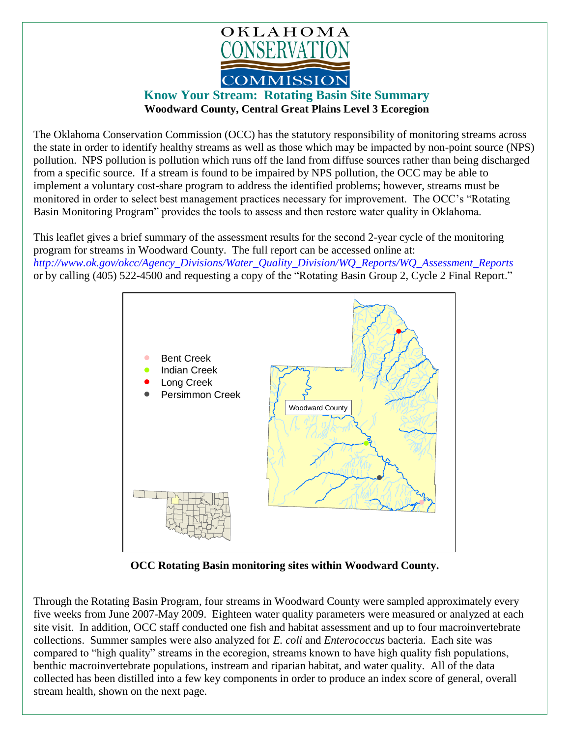

## **Know Your Stream: Rotating Basin Site Summary Woodward County, Central Great Plains Level 3 Ecoregion**

The Oklahoma Conservation Commission (OCC) has the statutory responsibility of monitoring streams across the state in order to identify healthy streams as well as those which may be impacted by non-point source (NPS) pollution. NPS pollution is pollution which runs off the land from diffuse sources rather than being discharged from a specific source. If a stream is found to be impaired by NPS pollution, the OCC may be able to implement a voluntary cost-share program to address the identified problems; however, streams must be monitored in order to select best management practices necessary for improvement. The OCC's "Rotating Basin Monitoring Program" provides the tools to assess and then restore water quality in Oklahoma.

This leaflet gives a brief summary of the assessment results for the second 2-year cycle of the monitoring program for streams in Woodward County. The full report can be accessed online at: *[http://www.ok.gov/okcc/Agency\\_Divisions/Water\\_Quality\\_Division/WQ\\_Reports/WQ\\_Assessment\\_Reports](http://www.ok.gov/okcc/Agency_Divisions/Water_Quality_Division/WQ_Reports/WQ_Assessment_Reports)* or by calling (405) 522-4500 and requesting a copy of the "Rotating Basin Group 2, Cycle 2 Final Report."



**OCC Rotating Basin monitoring sites within Woodward County.**

Through the Rotating Basin Program, four streams in Woodward County were sampled approximately every five weeks from June 2007-May 2009. Eighteen water quality parameters were measured or analyzed at each site visit. In addition, OCC staff conducted one fish and habitat assessment and up to four macroinvertebrate collections. Summer samples were also analyzed for *E. coli* and *Enterococcus* bacteria. Each site was compared to "high quality" streams in the ecoregion, streams known to have high quality fish populations, benthic macroinvertebrate populations, instream and riparian habitat, and water quality. All of the data collected has been distilled into a few key components in order to produce an index score of general, overall stream health, shown on the next page.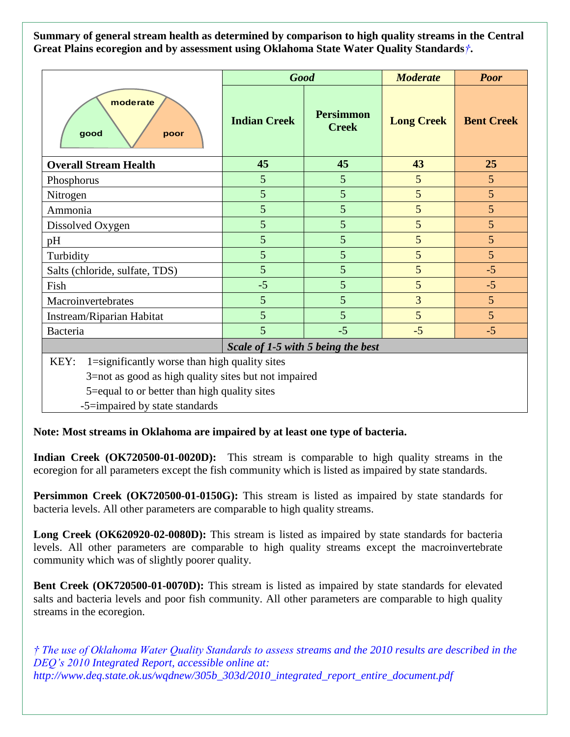**Summary of general stream health as determined by comparison to high quality streams in the Central Great Plains ecoregion and by assessment using Oklahoma State Water Quality Standards***†***.**

|                                                                                                               | <b>Good</b>         |                                  | <b>Moderate</b>   | <b>Poor</b>       |
|---------------------------------------------------------------------------------------------------------------|---------------------|----------------------------------|-------------------|-------------------|
| moderate<br>good<br>poor                                                                                      | <b>Indian Creek</b> | <b>Persimmon</b><br><b>Creek</b> | <b>Long Creek</b> | <b>Bent Creek</b> |
| <b>Overall Stream Health</b>                                                                                  | 45                  | 45                               | 43                | 25                |
| Phosphorus                                                                                                    | 5                   | 5                                | 5                 | 5                 |
| Nitrogen                                                                                                      | 5                   | 5                                | 5                 | 5                 |
| Ammonia                                                                                                       | 5                   | 5                                | 5                 | 5                 |
| Dissolved Oxygen                                                                                              | 5                   | 5                                | 5                 | 5                 |
| pH                                                                                                            | 5                   | 5                                | 5                 | 5                 |
| Turbidity                                                                                                     | 5                   | 5                                | 5                 | 5                 |
| Salts (chloride, sulfate, TDS)                                                                                | 5                   | 5                                | 5                 | $-5$              |
| Fish                                                                                                          | $-5$                | 5                                | 5                 | $-5$              |
| Macroinvertebrates                                                                                            | 5                   | 5                                | $\overline{3}$    | 5                 |
| Instream/Riparian Habitat                                                                                     | 5                   | 5                                | 5                 | 5                 |
| Bacteria                                                                                                      | 5                   | $-5$                             | $-5$              | $-5$              |
| Scale of 1-5 with 5 being the best                                                                            |                     |                                  |                   |                   |
| 1=significantly worse than high quality sites<br>KEY:<br>3=not as good as high quality sites but not impaired |                     |                                  |                   |                   |

5=equal to or better than high quality sites

-5=impaired by state standards

**Note: Most streams in Oklahoma are impaired by at least one type of bacteria.**

**Indian Creek (OK720500-01-0020D):** This stream is comparable to high quality streams in the ecoregion for all parameters except the fish community which is listed as impaired by state standards.

**Persimmon Creek (OK720500-01-0150G):** This stream is listed as impaired by state standards for bacteria levels. All other parameters are comparable to high quality streams.

**Long Creek (OK620920-02-0080D):** This stream is listed as impaired by state standards for bacteria levels. All other parameters are comparable to high quality streams except the macroinvertebrate community which was of slightly poorer quality.

**Bent Creek (OK720500-01-0070D):** This stream is listed as impaired by state standards for elevated salts and bacteria levels and poor fish community. All other parameters are comparable to high quality streams in the ecoregion.

*† The use of Oklahoma Water Quality Standards to assess streams and the 2010 results are described in the DEQ's 2010 Integrated Report, accessible online at: http://www.deq.state.ok.us/wqdnew/305b\_303d/2010\_integrated\_report\_entire\_document.pdf*